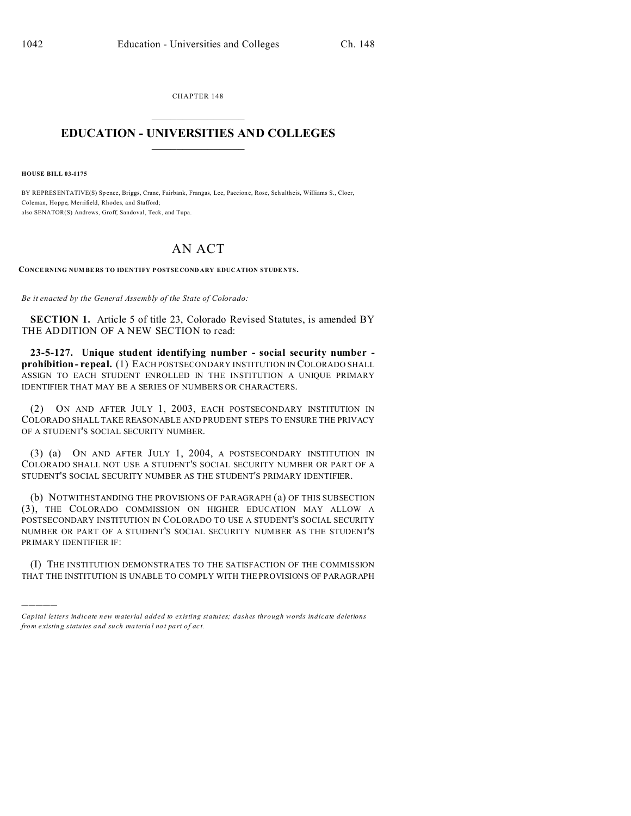CHAPTER 148  $\overline{\phantom{a}}$  , where  $\overline{\phantom{a}}$ 

## **EDUCATION - UNIVERSITIES AND COLLEGES**  $\frac{1}{2}$

**HOUSE BILL 03-1175**

)))))

BY REPRESENTATIVE(S) Spence, Briggs, Crane, Fairbank, Frangas, Lee, Paccione, Rose, Schultheis, Williams S., Cloer, Coleman, Hoppe, Merrifield, Rhodes, and Stafford; also SENATOR(S) Andrews, Groff, Sandoval, Teck, and Tupa.

## AN ACT

**CONCE RNING NUM BE RS TO IDEN TIFY P OSTSE COND ARY EDUC ATION STUDE NTS.**

*Be it enacted by the General Assembly of the State of Colorado:*

**SECTION 1.** Article 5 of title 23, Colorado Revised Statutes, is amended BY THE ADDITION OF A NEW SECTION to read:

**23-5-127. Unique student identifying number - social security number prohibition - repeal.** (1) EACH POSTSECONDARY INSTITUTION IN COLORADO SHALL ASSIGN TO EACH STUDENT ENROLLED IN THE INSTITUTION A UNIQUE PRIMARY IDENTIFIER THAT MAY BE A SERIES OF NUMBERS OR CHARACTERS.

(2) ON AND AFTER JULY 1, 2003, EACH POSTSECONDARY INSTITUTION IN COLORADO SHALL TAKE REASONABLE AND PRUDENT STEPS TO ENSURE THE PRIVACY OF A STUDENT'S SOCIAL SECURITY NUMBER.

(3) (a) ON AND AFTER JULY 1, 2004, A POSTSECONDARY INSTITUTION IN COLORADO SHALL NOT USE A STUDENT'S SOCIAL SECURITY NUMBER OR PART OF A STUDENT'S SOCIAL SECURITY NUMBER AS THE STUDENT'S PRIMARY IDENTIFIER.

(b) NOTWITHSTANDING THE PROVISIONS OF PARAGRAPH (a) OF THIS SUBSECTION (3), THE COLORADO COMMISSION ON HIGHER EDUCATION MAY ALLOW A POSTSECONDARY INSTITUTION IN COLORADO TO USE A STUDENT'S SOCIAL SECURITY NUMBER OR PART OF A STUDENT'S SOCIAL SECURITY NUMBER AS THE STUDENT'S PRIMARY IDENTIFIER IF:

(I) THE INSTITUTION DEMONSTRATES TO THE SATISFACTION OF THE COMMISSION THAT THE INSTITUTION IS UNABLE TO COMPLY WITH THE PROVISIONS OF PARAGRAPH

*Capital letters indicate new material added to existing statutes; dashes through words indicate deletions from e xistin g statu tes a nd such ma teria l no t pa rt of ac t.*